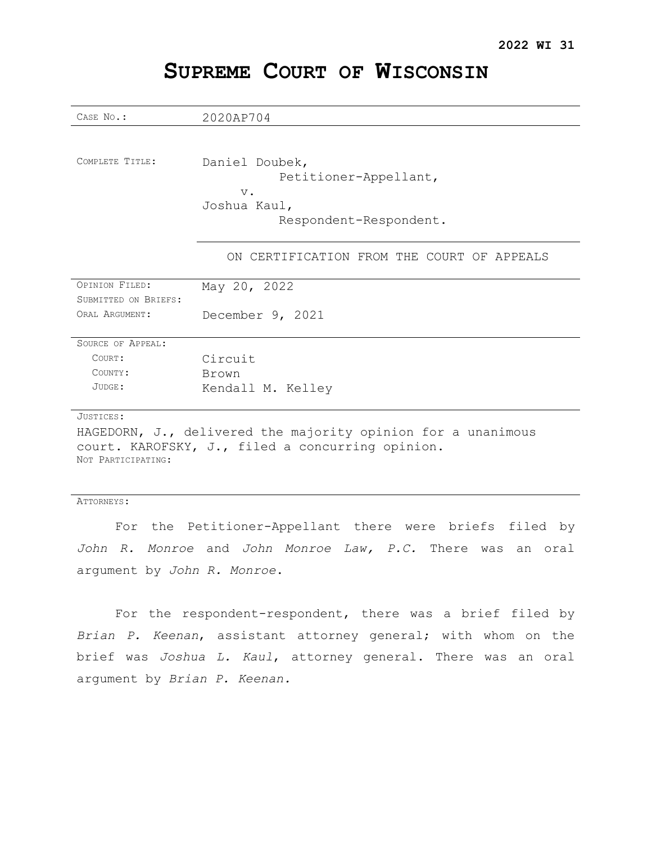| CASE No.:            | 2020AP704                                                    |
|----------------------|--------------------------------------------------------------|
|                      |                                                              |
|                      |                                                              |
| COMPLETE TITLE:      | Daniel Doubek,                                               |
|                      | Petitioner-Appellant,                                        |
|                      | $V$ .                                                        |
|                      | Joshua Kaul,                                                 |
|                      | Respondent-Respondent.                                       |
|                      |                                                              |
|                      | ON CERTIFICATION FROM THE COURT OF APPEALS                   |
|                      |                                                              |
| OPINION FILED:       | May 20, 2022                                                 |
| SUBMITTED ON BRIEFS: |                                                              |
| ORAL ARGUMENT:       | December 9, 2021                                             |
|                      |                                                              |
| SOURCE OF APPEAL:    |                                                              |
| COURT:               | Circuit                                                      |
| COUNTY:              | Brown                                                        |
| JUDGE:               | Kendall M. Kelley                                            |
|                      |                                                              |
| JUSTICES:            |                                                              |
|                      | HAGEDORN, J., delivered the majority opinion for a unanimous |
|                      | court. KAROFSKY, J., filed a concurring opinion.             |
| NOT PARTICIPATING:   |                                                              |
|                      |                                                              |
|                      |                                                              |
| ATTORNEYS:           |                                                              |
| For                  | the Petitioner-Appellant there were briefs filed<br>by       |

# **SUPREME COURT OF WISCONSIN**

For the respondent-respondent, there was a brief filed by *Brian P. Keenan*, assistant attorney general; with whom on the brief was *Joshua L. Kaul*, attorney general. There was an oral

*John R. Monroe* and *John Monroe Law, P.C.* There was an oral

argument by *John R. Monroe*.

argument by *Brian P. Keenan.*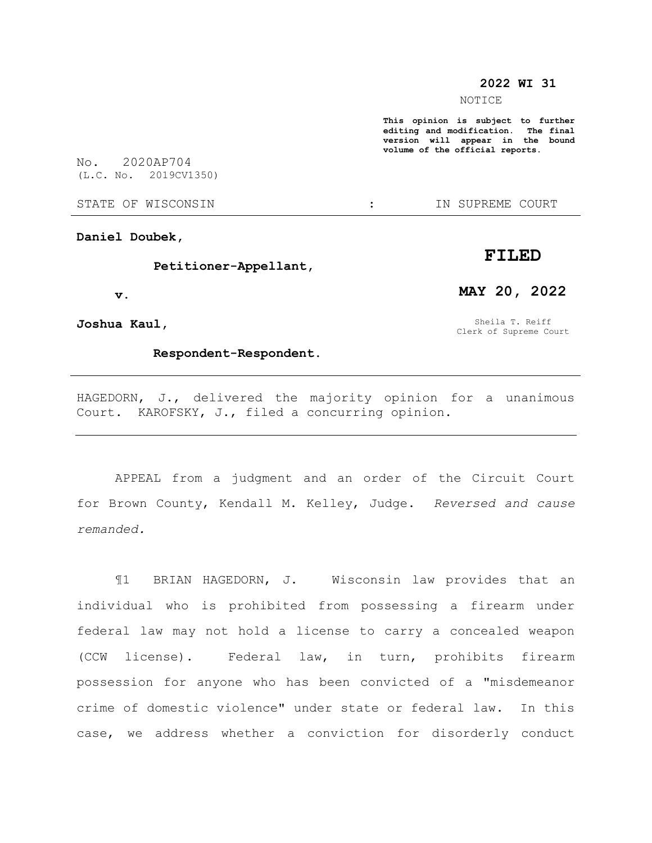#### **2022 WI 31**

NOTICE

**This opinion is subject to further editing and modification. The final version will appear in the bound volume of the official reports.** 

No. 2020AP704 (L.C. No. 2019CV1350)

STATE OF WISCONSIN THE STATE OF STATE OF WISCONSIN

**Daniel Doubek,**

#### **Petitioner-Appellant,**

 **v.**

**Joshua Kaul,**

### **Respondent-Respondent.**

Sheila T. Reiff Clerk of Supreme Court

**MAY 20, 2022**

HAGEDORN, J., delivered the majority opinion for a unanimous Court. KAROFSKY, J., filed a concurring opinion.

APPEAL from a judgment and an order of the Circuit Court for Brown County, Kendall M. Kelley, Judge. *Reversed and cause remanded.*

¶1 BRIAN HAGEDORN, J. Wisconsin law provides that an individual who is prohibited from possessing a firearm under federal law may not hold a license to carry a concealed weapon (CCW license). Federal law, in turn, prohibits firearm possession for anyone who has been convicted of a "misdemeanor crime of domestic violence" under state or federal law. In this case, we address whether a conviction for disorderly conduct

# **FILED**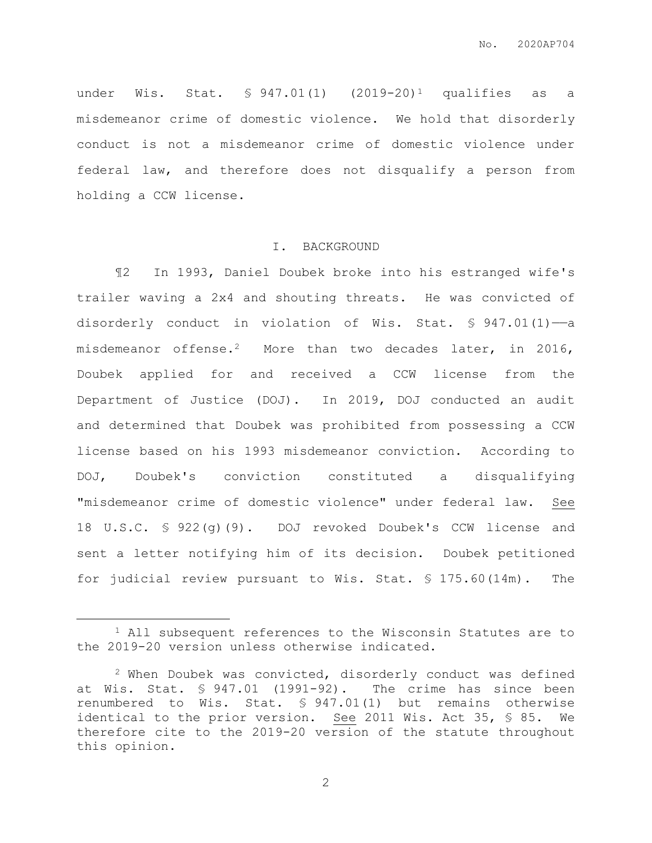under Wis. Stat.  $\text{\$ }947.01(1)$   $(2019-20)^1$  qualifies as a misdemeanor crime of domestic violence. We hold that disorderly conduct is not a misdemeanor crime of domestic violence under federal law, and therefore does not disqualify a person from holding a CCW license.

# I. BACKGROUND

¶2 In 1993, Daniel Doubek broke into his estranged wife's trailer waving a 2x4 and shouting threats. He was convicted of disorderly conduct in violation of Wis. Stat.  $\frac{1}{5}$  947.01(1) -- a misdemeanor offense.<sup>2</sup> More than two decades later, in 2016, Doubek applied for and received a CCW license from the Department of Justice (DOJ). In 2019, DOJ conducted an audit and determined that Doubek was prohibited from possessing a CCW license based on his 1993 misdemeanor conviction. According to DOJ, Doubek's conviction constituted a disqualifying "misdemeanor crime of domestic violence" under federal law. See 18 U.S.C. § 922(g)(9). DOJ revoked Doubek's CCW license and sent a letter notifying him of its decision. Doubek petitioned for judicial review pursuant to Wis. Stat. § 175.60(14m). The

 $\overline{a}$ 

<sup>1</sup> All subsequent references to the Wisconsin Statutes are to the 2019-20 version unless otherwise indicated.

<sup>2</sup> When Doubek was convicted, disorderly conduct was defined at Wis. Stat. § 947.01 (1991-92). The crime has since been renumbered to Wis. Stat. § 947.01(1) but remains otherwise identical to the prior version. See 2011 Wis. Act 35, § 85. We therefore cite to the 2019-20 version of the statute throughout this opinion.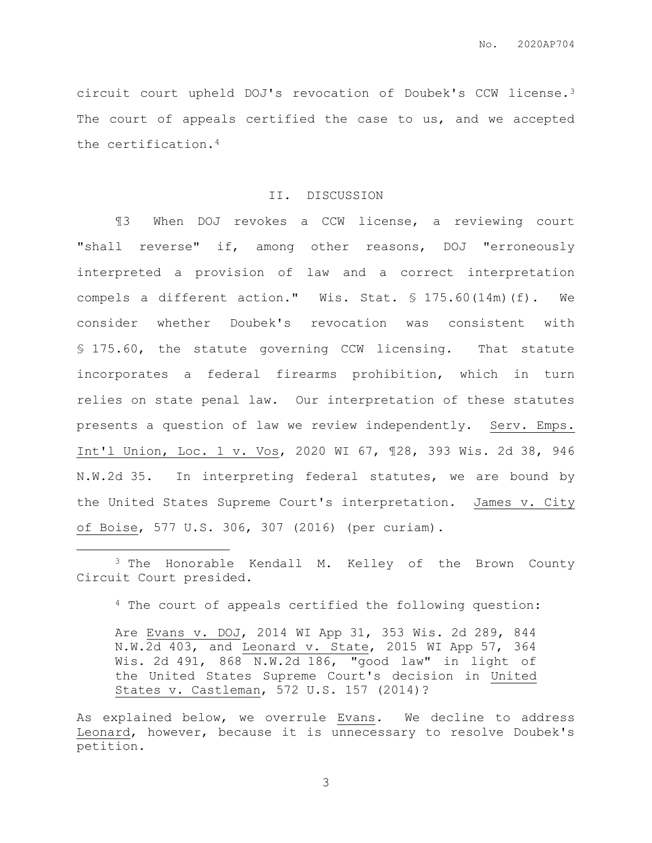circuit court upheld DOJ's revocation of Doubek's CCW license.<sup>3</sup> The court of appeals certified the case to us, and we accepted the certification.<sup>4</sup>

#### II. DISCUSSION

¶3 When DOJ revokes a CCW license, a reviewing court "shall reverse" if, among other reasons, DOJ "erroneously interpreted a provision of law and a correct interpretation compels a different action." Wis. Stat. § 175.60(14m)(f). We consider whether Doubek's revocation was consistent with § 175.60, the statute governing CCW licensing. That statute incorporates a federal firearms prohibition, which in turn relies on state penal law. Our interpretation of these statutes presents a question of law we review independently. Serv. Emps. Int'l Union, Loc. 1 v. Vos, 2020 WI 67, ¶28, 393 Wis. 2d 38, 946 N.W.2d 35. In interpreting federal statutes, we are bound by the United States Supreme Court's interpretation. James v. City of Boise, 577 U.S. 306, 307 (2016) (per curiam).

 $\overline{a}$ 

<sup>4</sup> The court of appeals certified the following question:

<sup>&</sup>lt;sup>3</sup> The Honorable Kendall M. Kelley of the Brown County Circuit Court presided.

Are Evans v. DOJ, 2014 WI App 31, 353 Wis. 2d 289, 844 N.W.2d 403, and Leonard v. State, 2015 WI App 57, 364 Wis. 2d 491, 868 N.W.2d 186, "good law" in light of the United States Supreme Court's decision in United States v. Castleman, 572 U.S. 157 (2014)?

As explained below, we overrule Evans. We decline to address Leonard, however, because it is unnecessary to resolve Doubek's petition.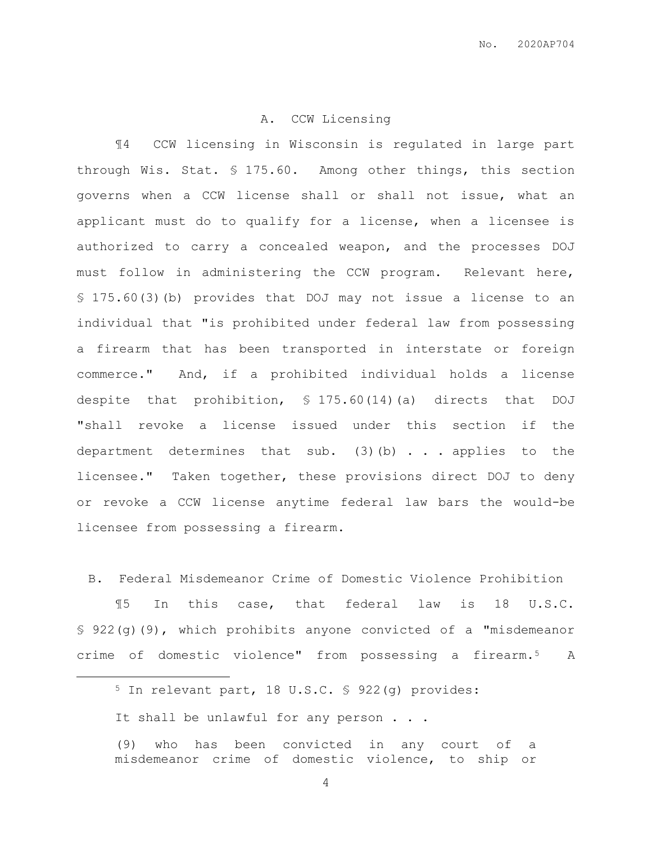#### A. CCW Licensing

¶4 CCW licensing in Wisconsin is regulated in large part through Wis. Stat. § 175.60. Among other things, this section governs when a CCW license shall or shall not issue, what an applicant must do to qualify for a license, when a licensee is authorized to carry a concealed weapon, and the processes DOJ must follow in administering the CCW program. Relevant here, § 175.60(3)(b) provides that DOJ may not issue a license to an individual that "is prohibited under federal law from possessing a firearm that has been transported in interstate or foreign commerce." And, if a prohibited individual holds a license despite that prohibition, § 175.60(14)(a) directs that DOJ "shall revoke a license issued under this section if the department determines that sub. (3)(b) . . . applies to the licensee." Taken together, these provisions direct DOJ to deny or revoke a CCW license anytime federal law bars the would-be licensee from possessing a firearm.

B. Federal Misdemeanor Crime of Domestic Violence Prohibition

¶5 In this case, that federal law is 18 U.S.C. § 922(g)(9), which prohibits anyone convicted of a "misdemeanor crime of domestic violence" from possessing a firearm.5 A

 $\overline{a}$ 

<sup>5</sup> In relevant part, 18 U.S.C. § 922(g) provides:

It shall be unlawful for any person . . .

<sup>(9)</sup> who has been convicted in any court of a misdemeanor crime of domestic violence, to ship or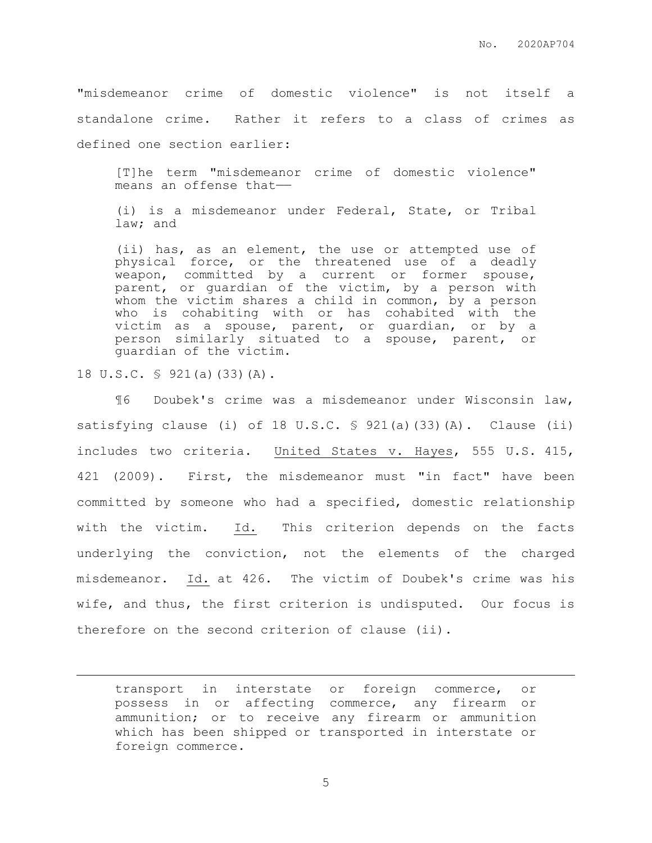"misdemeanor crime of domestic violence" is not itself a standalone crime. Rather it refers to a class of crimes as defined one section earlier:

[T]he term "misdemeanor crime of domestic violence" means an offense that——

(i) is a misdemeanor under Federal, State, or Tribal law; and

(ii) has, as an element, the use or attempted use of physical force, or the threatened use of a deadly weapon, committed by a current or former spouse, parent, or guardian of the victim, by a person with whom the victim shares a child in common, by a person who is cohabiting with or has cohabited with the victim as a spouse, parent, or guardian, or by a person similarly situated to a spouse, parent, or guardian of the victim.

18 U.S.C. § 921(a)(33)(A).

 $\overline{a}$ 

¶6 Doubek's crime was a misdemeanor under Wisconsin law, satisfying clause (i) of 18 U.S.C.  $\frac{6}{5}$  921(a)(33)(A). Clause (ii) includes two criteria. United States v. Hayes, 555 U.S. 415, 421 (2009). First, the misdemeanor must "in fact" have been committed by someone who had a specified, domestic relationship with the victim. Id. This criterion depends on the facts underlying the conviction, not the elements of the charged misdemeanor. Id. at 426. The victim of Doubek's crime was his wife, and thus, the first criterion is undisputed. Our focus is therefore on the second criterion of clause (ii).

transport in interstate or foreign commerce, or possess in or affecting commerce, any firearm or ammunition; or to receive any firearm or ammunition which has been shipped or transported in interstate or foreign commerce.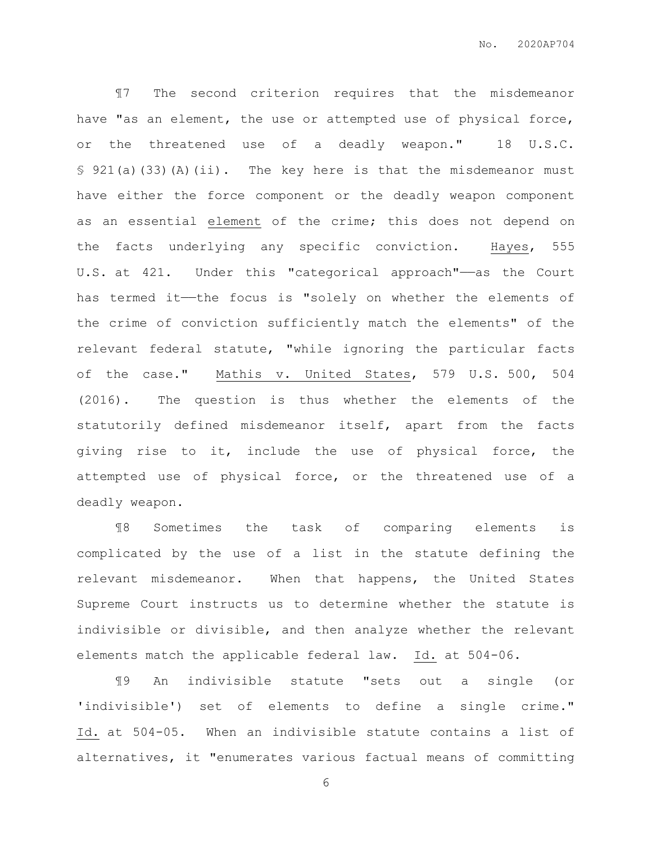¶7 The second criterion requires that the misdemeanor have "as an element, the use or attempted use of physical force, or the threatened use of a deadly weapon." 18 U.S.C. § 921(a)(33)(A)(ii). The key here is that the misdemeanor must have either the force component or the deadly weapon component as an essential element of the crime; this does not depend on the facts underlying any specific conviction. Hayes, 555 U.S. at 421. Under this "categorical approach"——as the Court has termed it—the focus is "solely on whether the elements of the crime of conviction sufficiently match the elements" of the relevant federal statute, "while ignoring the particular facts of the case." Mathis v. United States, 579 U.S. 500, 504 (2016). The question is thus whether the elements of the statutorily defined misdemeanor itself, apart from the facts giving rise to it, include the use of physical force, the attempted use of physical force, or the threatened use of a deadly weapon.

¶8 Sometimes the task of comparing elements is complicated by the use of a list in the statute defining the relevant misdemeanor. When that happens, the United States Supreme Court instructs us to determine whether the statute is indivisible or divisible, and then analyze whether the relevant elements match the applicable federal law. Id. at 504-06.

¶9 An indivisible statute "sets out a single (or 'indivisible') set of elements to define a single crime." Id. at 504-05. When an indivisible statute contains a list of alternatives, it "enumerates various factual means of committing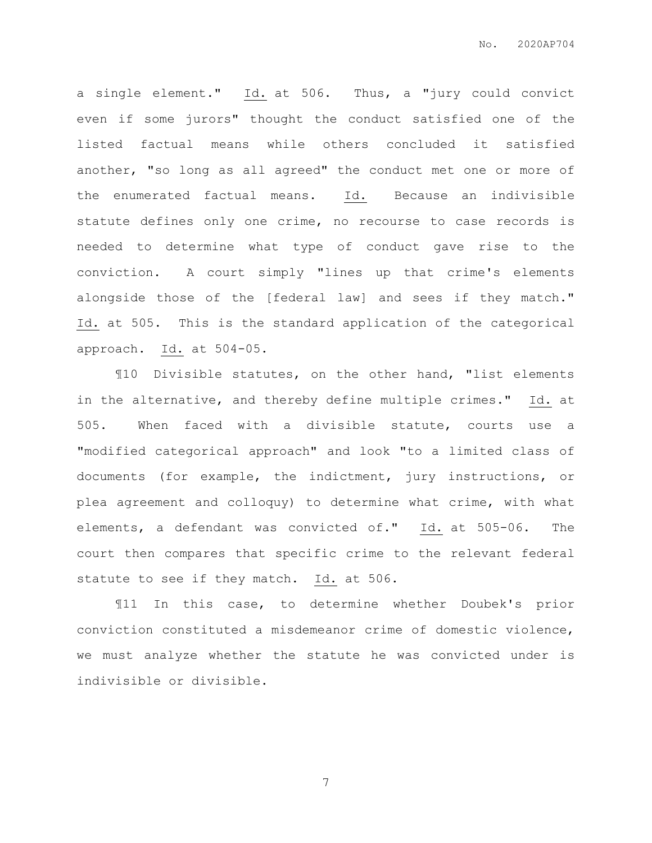a single element." Id. at 506. Thus, a "jury could convict even if some jurors" thought the conduct satisfied one of the listed factual means while others concluded it satisfied another, "so long as all agreed" the conduct met one or more of the enumerated factual means. Id. Because an indivisible statute defines only one crime, no recourse to case records is needed to determine what type of conduct gave rise to the conviction. A court simply "lines up that crime's elements alongside those of the [federal law] and sees if they match." Id. at 505. This is the standard application of the categorical approach. Id. at 504-05.

¶10 Divisible statutes, on the other hand, "list elements in the alternative, and thereby define multiple crimes." Id. at 505. When faced with a divisible statute, courts use a "modified categorical approach" and look "to a limited class of documents (for example, the indictment, jury instructions, or plea agreement and colloquy) to determine what crime, with what elements, a defendant was convicted of." Id. at 505-06. The court then compares that specific crime to the relevant federal statute to see if they match. Id. at 506.

¶11 In this case, to determine whether Doubek's prior conviction constituted a misdemeanor crime of domestic violence, we must analyze whether the statute he was convicted under is indivisible or divisible.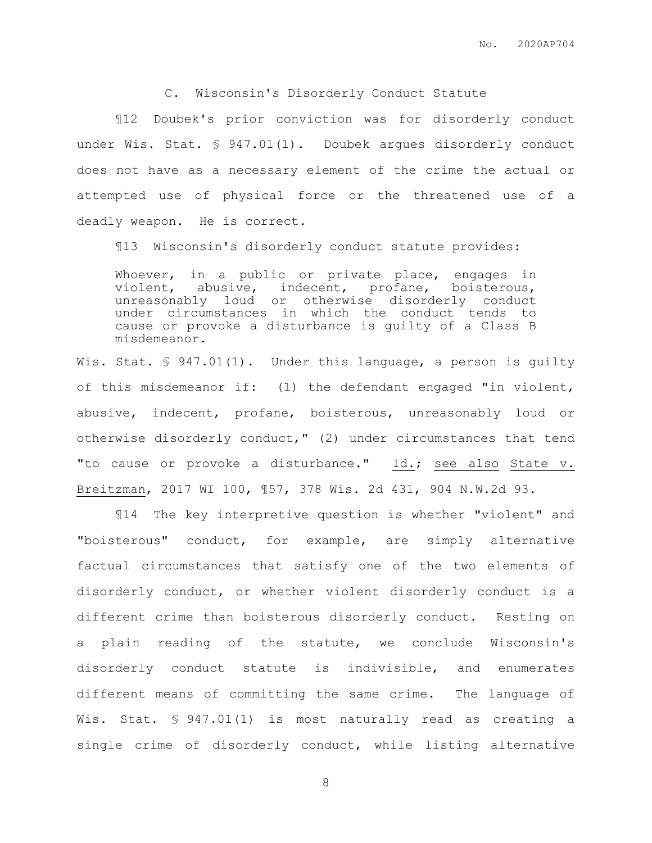# C. Wisconsin's Disorderly Conduct Statute

¶12 Doubek's prior conviction was for disorderly conduct under Wis. Stat. § 947.01(1). Doubek argues disorderly conduct does not have as a necessary element of the crime the actual or attempted use of physical force or the threatened use of a deadly weapon. He is correct.

¶13 Wisconsin's disorderly conduct statute provides:

Whoever, in a public or private place, engages in violent, abusive, indecent, profane, boisterous, unreasonably loud or otherwise disorderly conduct under circumstances in which the conduct tends to cause or provoke a disturbance is guilty of a Class B misdemeanor.

Wis. Stat. § 947.01(1). Under this language, a person is guilty of this misdemeanor if: (1) the defendant engaged "in violent, abusive, indecent, profane, boisterous, unreasonably loud or otherwise disorderly conduct," (2) under circumstances that tend "to cause or provoke a disturbance." Id.; see also State v. Breitzman, 2017 WI 100, ¶57, 378 Wis. 2d 431, 904 N.W.2d 93.

¶14 The key interpretive question is whether "violent" and "boisterous" conduct, for example, are simply alternative factual circumstances that satisfy one of the two elements of disorderly conduct, or whether violent disorderly conduct is a different crime than boisterous disorderly conduct. Resting on a plain reading of the statute, we conclude Wisconsin's disorderly conduct statute is indivisible, and enumerates different means of committing the same crime. The language of Wis. Stat. § 947.01(1) is most naturally read as creating a single crime of disorderly conduct, while listing alternative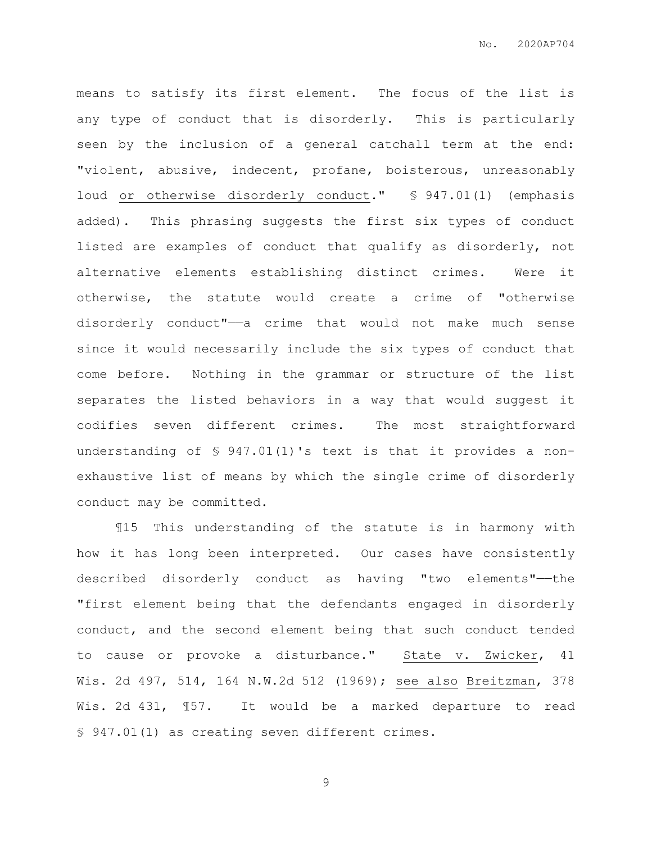means to satisfy its first element. The focus of the list is any type of conduct that is disorderly. This is particularly seen by the inclusion of a general catchall term at the end: "violent, abusive, indecent, profane, boisterous, unreasonably loud or otherwise disorderly conduct." § 947.01(1) (emphasis added). This phrasing suggests the first six types of conduct listed are examples of conduct that qualify as disorderly, not alternative elements establishing distinct crimes. Were it otherwise, the statute would create a crime of "otherwise disorderly conduct"—a crime that would not make much sense since it would necessarily include the six types of conduct that come before. Nothing in the grammar or structure of the list separates the listed behaviors in a way that would suggest it codifies seven different crimes. The most straightforward understanding of § 947.01(1)'s text is that it provides a nonexhaustive list of means by which the single crime of disorderly conduct may be committed.

¶15 This understanding of the statute is in harmony with how it has long been interpreted. Our cases have consistently described disorderly conduct as having "two elements"——the "first element being that the defendants engaged in disorderly conduct, and the second element being that such conduct tended to cause or provoke a disturbance." State v. Zwicker, 41 Wis. 2d 497, 514, 164 N.W.2d 512 (1969); see also Breitzman, 378 Wis. 2d 431, ¶57. It would be a marked departure to read § 947.01(1) as creating seven different crimes.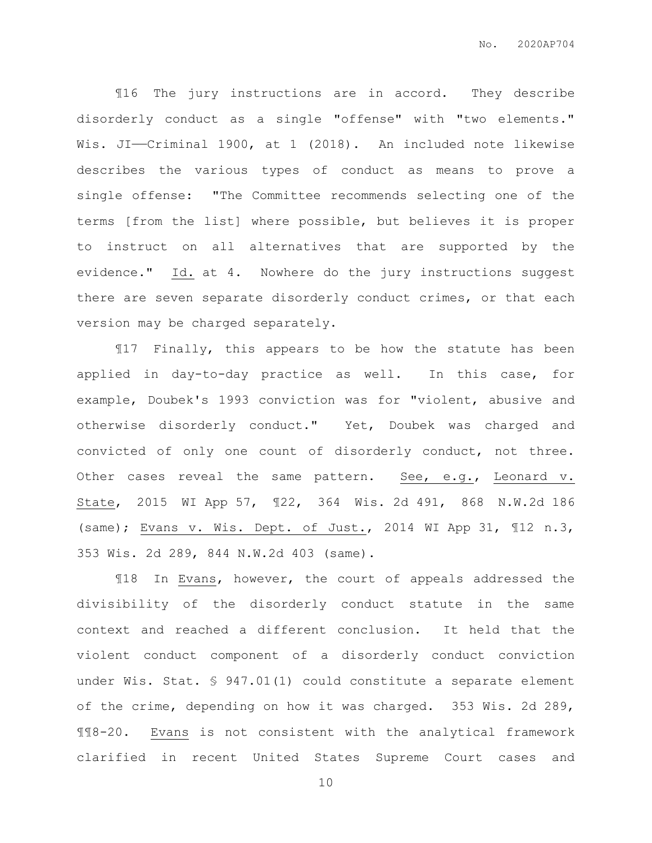¶16 The jury instructions are in accord. They describe disorderly conduct as a single "offense" with "two elements." Wis. JI——Criminal 1900, at 1 (2018). An included note likewise describes the various types of conduct as means to prove a single offense: "The Committee recommends selecting one of the terms [from the list] where possible, but believes it is proper to instruct on all alternatives that are supported by the evidence." Id. at 4. Nowhere do the jury instructions suggest there are seven separate disorderly conduct crimes, or that each version may be charged separately.

¶17 Finally, this appears to be how the statute has been applied in day-to-day practice as well. In this case, for example, Doubek's 1993 conviction was for "violent, abusive and otherwise disorderly conduct." Yet, Doubek was charged and convicted of only one count of disorderly conduct, not three. Other cases reveal the same pattern. See, e.g., Leonard v. State, 2015 WI App 57, ¶22, 364 Wis. 2d 491, 868 N.W.2d 186 (same); Evans v. Wis. Dept. of Just., 2014 WI App 31, ¶12 n.3, 353 Wis. 2d 289, 844 N.W.2d 403 (same).

¶18 In Evans, however, the court of appeals addressed the divisibility of the disorderly conduct statute in the same context and reached a different conclusion. It held that the violent conduct component of a disorderly conduct conviction under Wis. Stat. § 947.01(1) could constitute a separate element of the crime, depending on how it was charged. 353 Wis. 2d 289, ¶¶8-20. Evans is not consistent with the analytical framework clarified in recent United States Supreme Court cases and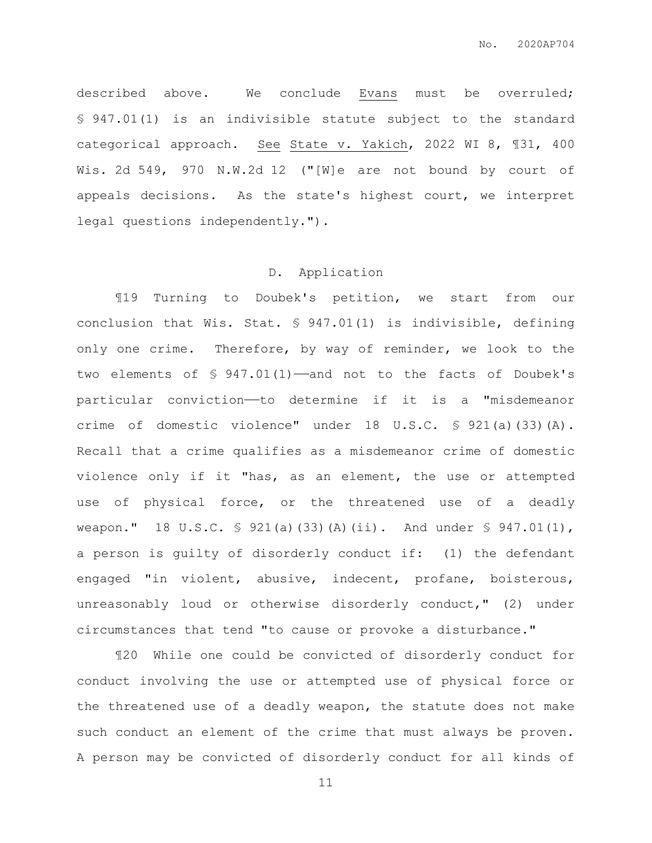described above. We conclude Evans must be overruled; § 947.01(1) is an indivisible statute subject to the standard categorical approach. See State v. Yakich, 2022 WI 8, ¶31, 400 Wis. 2d 549, 970 N.W.2d 12 ("[W]e are not bound by court of appeals decisions. As the state's highest court, we interpret legal questions independently.").

#### D. Application

¶19 Turning to Doubek's petition, we start from our conclusion that Wis. Stat. § 947.01(1) is indivisible, defining only one crime. Therefore, by way of reminder, we look to the two elements of § 947.01(1)-and not to the facts of Doubek's particular conviction——to determine if it is a "misdemeanor crime of domestic violence" under 18 U.S.C. § 921(a)(33)(A). Recall that a crime qualifies as a misdemeanor crime of domestic violence only if it "has, as an element, the use or attempted use of physical force, or the threatened use of a deadly weapon." 18 U.S.C.  $\frac{1}{2}$  921(a)(33)(A)(ii). And under  $\frac{1}{2}$  947.01(1), a person is guilty of disorderly conduct if: (1) the defendant engaged "in violent, abusive, indecent, profane, boisterous, unreasonably loud or otherwise disorderly conduct," (2) under circumstances that tend "to cause or provoke a disturbance."

¶20 While one could be convicted of disorderly conduct for conduct involving the use or attempted use of physical force or the threatened use of a deadly weapon, the statute does not make such conduct an element of the crime that must always be proven. A person may be convicted of disorderly conduct for all kinds of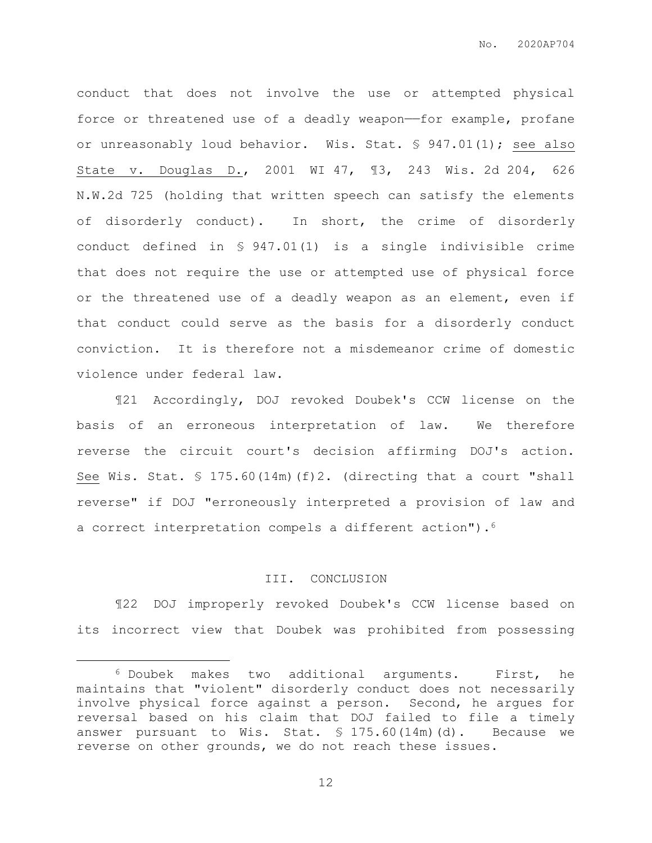conduct that does not involve the use or attempted physical force or threatened use of a deadly weapon——for example, profane or unreasonably loud behavior. Wis. Stat. § 947.01(1); see also State v. Douglas D., 2001 WI 47, ¶3, 243 Wis. 2d 204, 626 N.W.2d 725 (holding that written speech can satisfy the elements of disorderly conduct). In short, the crime of disorderly conduct defined in § 947.01(1) is a single indivisible crime that does not require the use or attempted use of physical force or the threatened use of a deadly weapon as an element, even if that conduct could serve as the basis for a disorderly conduct conviction. It is therefore not a misdemeanor crime of domestic violence under federal law.

¶21 Accordingly, DOJ revoked Doubek's CCW license on the basis of an erroneous interpretation of law. We therefore reverse the circuit court's decision affirming DOJ's action. See Wis. Stat.  $\frac{175.60(14\text{m})(f)}{2}$ . (directing that a court "shall reverse" if DOJ "erroneously interpreted a provision of law and a correct interpretation compels a different action").<sup>6</sup>

## III. CONCLUSION

¶22 DOJ improperly revoked Doubek's CCW license based on its incorrect view that Doubek was prohibited from possessing

 $\overline{a}$ 

<sup>6</sup> Doubek makes two additional arguments. First, he maintains that "violent" disorderly conduct does not necessarily involve physical force against a person. Second, he argues for reversal based on his claim that DOJ failed to file a timely answer pursuant to Wis. Stat.  $\text{\$ }175.60(14\text{m})$  (d). Because we reverse on other grounds, we do not reach these issues.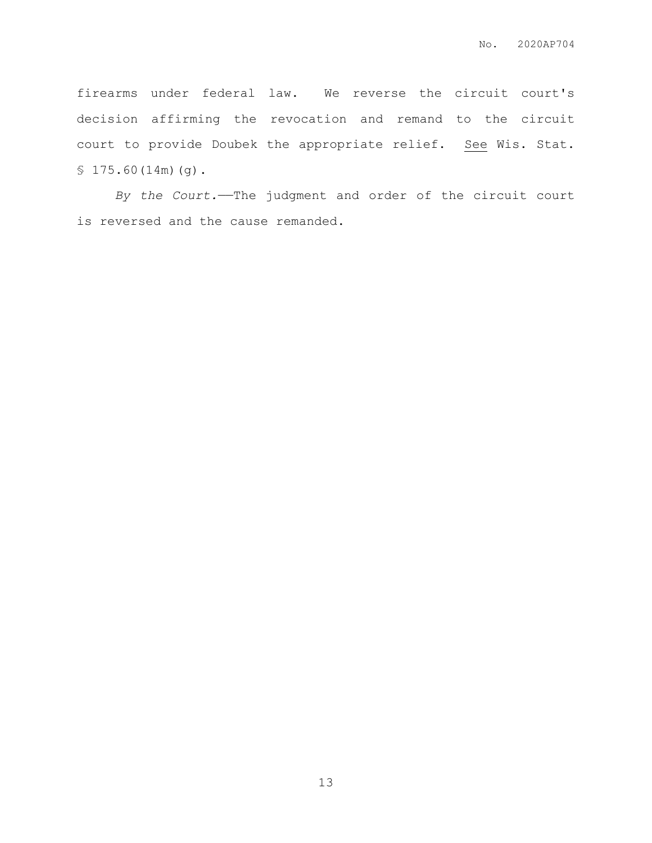firearms under federal law. We reverse the circuit court's decision affirming the revocation and remand to the circuit court to provide Doubek the appropriate relief. See Wis. Stat. § 175.60(14m)(g).

*By the Court.*——The judgment and order of the circuit court is reversed and the cause remanded.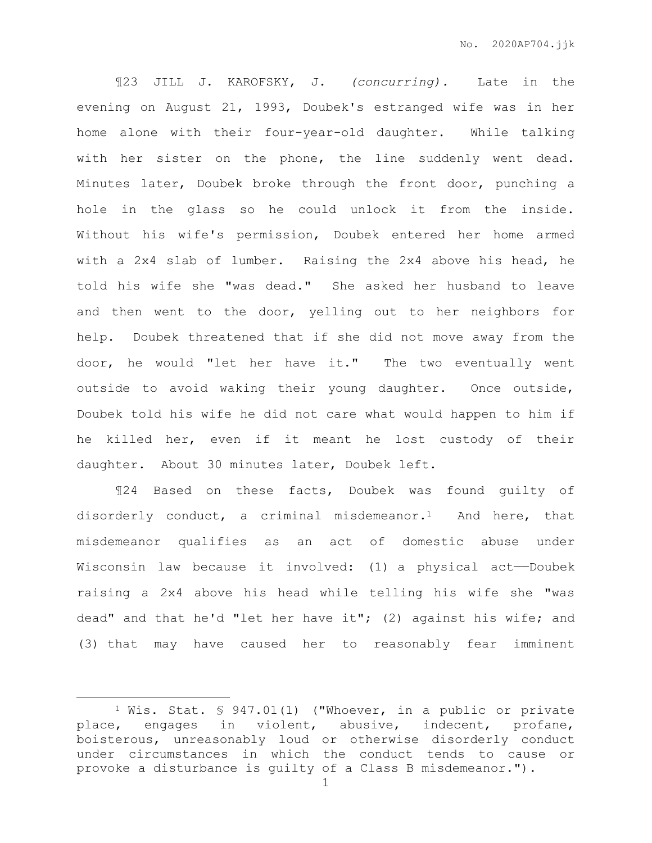¶23 JILL J. KAROFSKY, J. *(concurring).* Late in the evening on August 21, 1993, Doubek's estranged wife was in her home alone with their four-year-old daughter. While talking with her sister on the phone, the line suddenly went dead. Minutes later, Doubek broke through the front door, punching a hole in the glass so he could unlock it from the inside. Without his wife's permission, Doubek entered her home armed with a 2x4 slab of lumber. Raising the 2x4 above his head, he told his wife she "was dead." She asked her husband to leave and then went to the door, yelling out to her neighbors for help. Doubek threatened that if she did not move away from the door, he would "let her have it." The two eventually went outside to avoid waking their young daughter. Once outside, Doubek told his wife he did not care what would happen to him if he killed her, even if it meant he lost custody of their daughter. About 30 minutes later, Doubek left.

¶24 Based on these facts, Doubek was found guilty of disorderly conduct, a criminal misdemeanor.1 And here, that misdemeanor qualifies as an act of domestic abuse under Wisconsin law because it involved: (1) a physical act-Doubek raising a 2x4 above his head while telling his wife she "was dead" and that he'd "let her have it"; (2) against his wife; and (3) that may have caused her to reasonably fear imminent

<sup>1</sup> Wis. Stat. § 947.01(1) ("Whoever, in a public or private place, engages in violent, abusive, indecent, profane, boisterous, unreasonably loud or otherwise disorderly conduct under circumstances in which the conduct tends to cause or provoke a disturbance is guilty of a Class B misdemeanor.").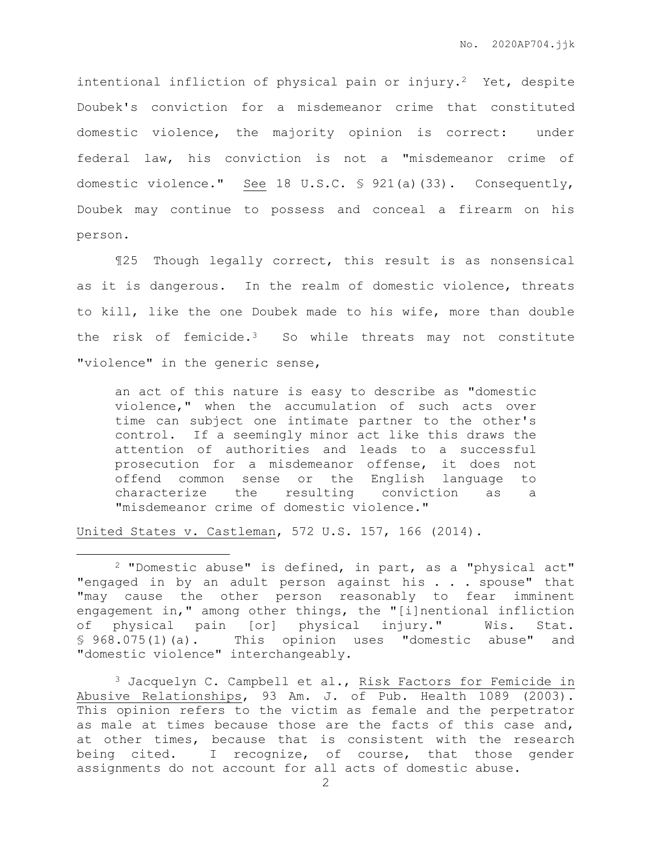intentional infliction of physical pain or injury.<sup>2</sup> Yet, despite Doubek's conviction for a misdemeanor crime that constituted domestic violence, the majority opinion is correct: under federal law, his conviction is not a "misdemeanor crime of domestic violence." See 18 U.S.C. § 921(a)(33). Consequently, Doubek may continue to possess and conceal a firearm on his person.

¶25 Though legally correct, this result is as nonsensical as it is dangerous. In the realm of domestic violence, threats to kill, like the one Doubek made to his wife, more than double the risk of femicide.3 So while threats may not constitute "violence" in the generic sense,

an act of this nature is easy to describe as "domestic violence," when the accumulation of such acts over time can subject one intimate partner to the other's control. If a seemingly minor act like this draws the attention of authorities and leads to a successful prosecution for a misdemeanor offense, it does not offend common sense or the English language to characterize the resulting conviction as a "misdemeanor crime of domestic violence."

United States v. Castleman, 572 U.S. 157, 166 (2014).

<sup>2</sup> "Domestic abuse" is defined, in part, as a "physical act" "engaged in by an adult person against his . . . spouse" that "may cause the other person reasonably to fear imminent engagement in," among other things, the "[i]nentional infliction of physical pain [or] physical injury." Wis. Stat. § 968.075(1)(a). This opinion uses "domestic abuse" and "domestic violence" interchangeably.

<sup>3</sup> Jacquelyn C. Campbell et al., Risk Factors for Femicide in Abusive Relationships, 93 Am. J. of Pub. Health 1089 (2003). This opinion refers to the victim as female and the perpetrator as male at times because those are the facts of this case and, at other times, because that is consistent with the research being cited. I recognize, of course, that those gender assignments do not account for all acts of domestic abuse.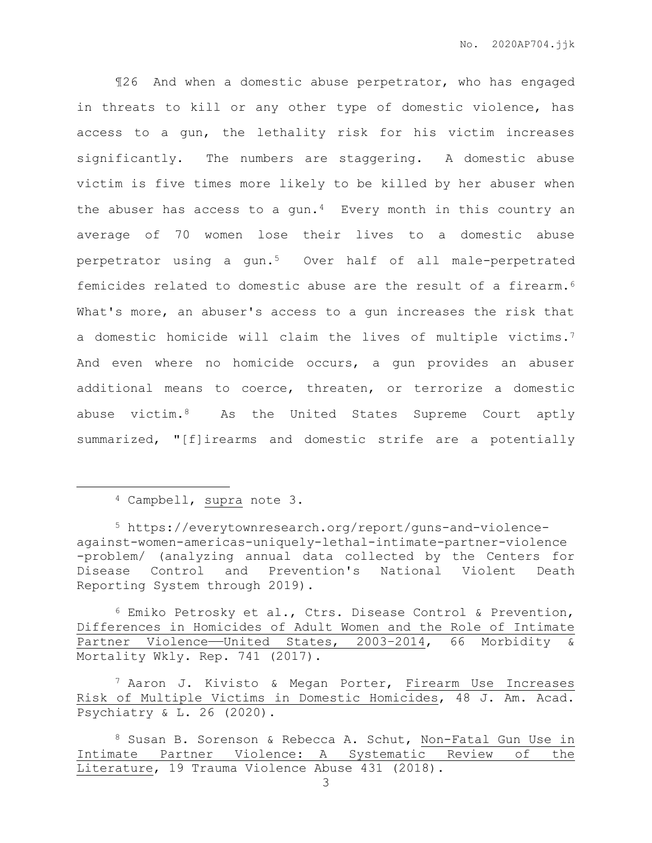¶26 And when a domestic abuse perpetrator, who has engaged in threats to kill or any other type of domestic violence, has access to a gun, the lethality risk for his victim increases significantly. The numbers are staggering. A domestic abuse victim is five times more likely to be killed by her abuser when the abuser has access to a gun.<sup>4</sup> Every month in this country an average of 70 women lose their lives to a domestic abuse perpetrator using a gun.5 Over half of all male-perpetrated femicides related to domestic abuse are the result of a firearm.<sup>6</sup> What's more, an abuser's access to a gun increases the risk that a domestic homicide will claim the lives of multiple victims.<sup>7</sup> And even where no homicide occurs, a gun provides an abuser additional means to coerce, threaten, or terrorize a domestic abuse victim.8 As the United States Supreme Court aptly summarized, "[f]irearms and domestic strife are a potentially

<sup>4</sup> Campbell, supra note 3.

<sup>5</sup> https://everytownresearch.org/report/guns-and-violenceagainst-women-americas-uniquely-lethal-intimate-partner-violence -problem/ (analyzing annual data collected by the Centers for Disease Control and Prevention's National Violent Death Reporting System through 2019).

 $6$  Emiko Petrosky et al., Ctrs. Disease Control & Prevention, Differences in Homicides of Adult Women and the Role of Intimate Partner Violence—United States, 2003-2014, 66 Morbidity & Mortality Wkly. Rep. 741 (2017).

<sup>7</sup> Aaron J. Kivisto & Megan Porter, Firearm Use Increases Risk of Multiple Victims in Domestic Homicides, 48 J. Am. Acad. Psychiatry & L. 26 (2020).

<sup>8</sup> Susan B. Sorenson & Rebecca A. Schut, Non-Fatal Gun Use in Intimate Partner Violence: A Systematic Review of the Literature, 19 Trauma Violence Abuse 431 (2018).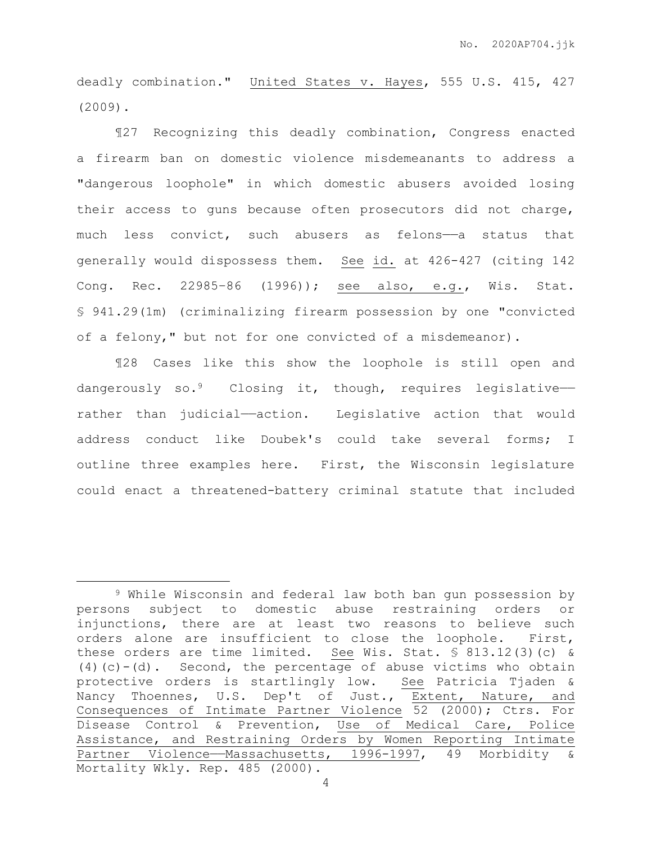deadly combination." United States v. Hayes, 555 U.S. 415, 427 (2009).

¶27 Recognizing this deadly combination, Congress enacted a firearm ban on domestic violence misdemeanants to address a "dangerous loophole" in which domestic abusers avoided losing their access to guns because often prosecutors did not charge, much less convict, such abusers as felons-a status that generally would dispossess them. See id. at 426-427 (citing 142 Cong. Rec. 22985–86 (1996)); see also, e.g., Wis. Stat. § 941.29(1m) (criminalizing firearm possession by one "convicted of a felony," but not for one convicted of a misdemeanor).

¶28 Cases like this show the loophole is still open and dangerously so.<sup>9</sup> Closing it, though, requires legislativerather than judicial—action. Legislative action that would address conduct like Doubek's could take several forms; I outline three examples here. First, the Wisconsin legislature could enact a threatened-battery criminal statute that included

<sup>9</sup> While Wisconsin and federal law both ban gun possession by persons subject to domestic abuse restraining orders or injunctions, there are at least two reasons to believe such orders alone are insufficient to close the loophole. First, these orders are time limited. See Wis. Stat. § 813.12(3)(c) & (4)(c)-(d). Second, the percentage of abuse victims who obtain protective orders is startlingly low. See Patricia Tjaden & Nancy Thoennes, U.S. Dep't of Just., Extent, Nature, and Consequences of Intimate Partner Violence 52 (2000); Ctrs. For Disease Control & Prevention, Use of Medical Care, Police Assistance, and Restraining Orders by Women Reporting Intimate Partner Violence—Massachusetts, 1996-1997, 49 Morbidity & Mortality Wkly. Rep. 485 (2000).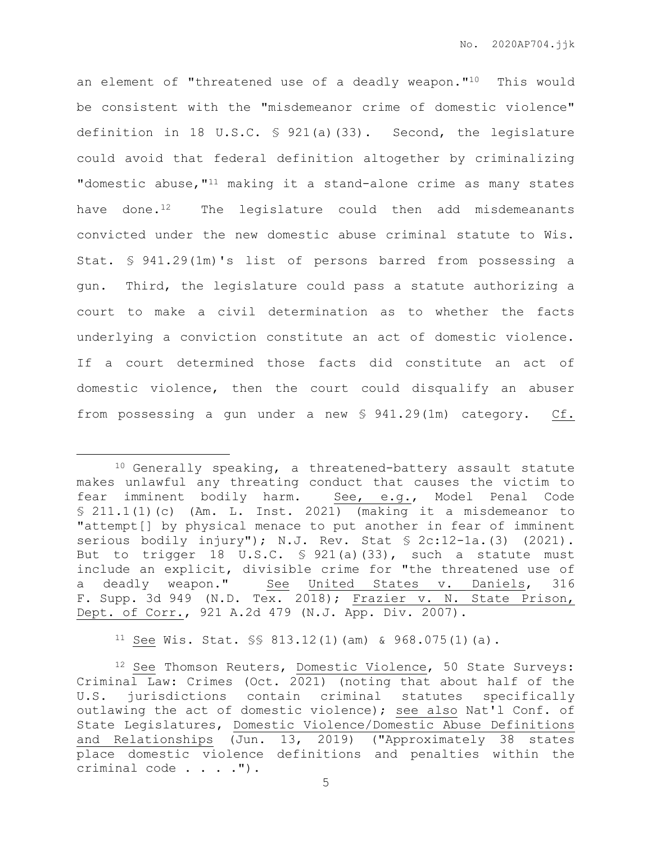an element of "threatened use of a deadly weapon."<sup>10</sup> This would be consistent with the "misdemeanor crime of domestic violence" definition in 18 U.S.C. § 921(a)(33). Second, the legislature could avoid that federal definition altogether by criminalizing "domestic abuse, "<sup>11</sup> making it a stand-alone crime as many states have done. $12$  The legislature could then add misdemeanants convicted under the new domestic abuse criminal statute to Wis. Stat. § 941.29(1m)'s list of persons barred from possessing a gun. Third, the legislature could pass a statute authorizing a court to make a civil determination as to whether the facts underlying a conviction constitute an act of domestic violence. If a court determined those facts did constitute an act of domestic violence, then the court could disqualify an abuser from possessing a gun under a new § 941.29(1m) category. Cf.

 $\overline{a}$ 

11 See Wis. Stat.  $\frac{13.12(1)}{12.12(1)}$  (am) & 968.075(1)(a).

<sup>10</sup> Generally speaking, a threatened-battery assault statute makes unlawful any threating conduct that causes the victim to fear imminent bodily harm. See, e.g., Model Penal Code § 211.1(1)(c) (Am. L. Inst. 2021) (making it a misdemeanor to "attempt[] by physical menace to put another in fear of imminent serious bodily injury"); N.J. Rev. Stat § 2c:12-1a.(3) (2021). But to trigger 18 U.S.C. § 921(a)(33), such a statute must include an explicit, divisible crime for "the threatened use of a deadly weapon." See United States v. Daniels, 316 F. Supp. 3d 949 (N.D. Tex. 2018); Frazier v. N. State Prison, Dept. of Corr., 921 A.2d 479 (N.J. App. Div. 2007).

<sup>12</sup> See Thomson Reuters, Domestic Violence, 50 State Surveys: Criminal Law: Crimes (Oct. 2021) (noting that about half of the U.S. jurisdictions contain criminal statutes specifically outlawing the act of domestic violence); see also Nat'l Conf. of State Legislatures, Domestic Violence/Domestic Abuse Definitions and Relationships (Jun. 13, 2019) ("Approximately 38 states place domestic violence definitions and penalties within the criminal code . . . . ").